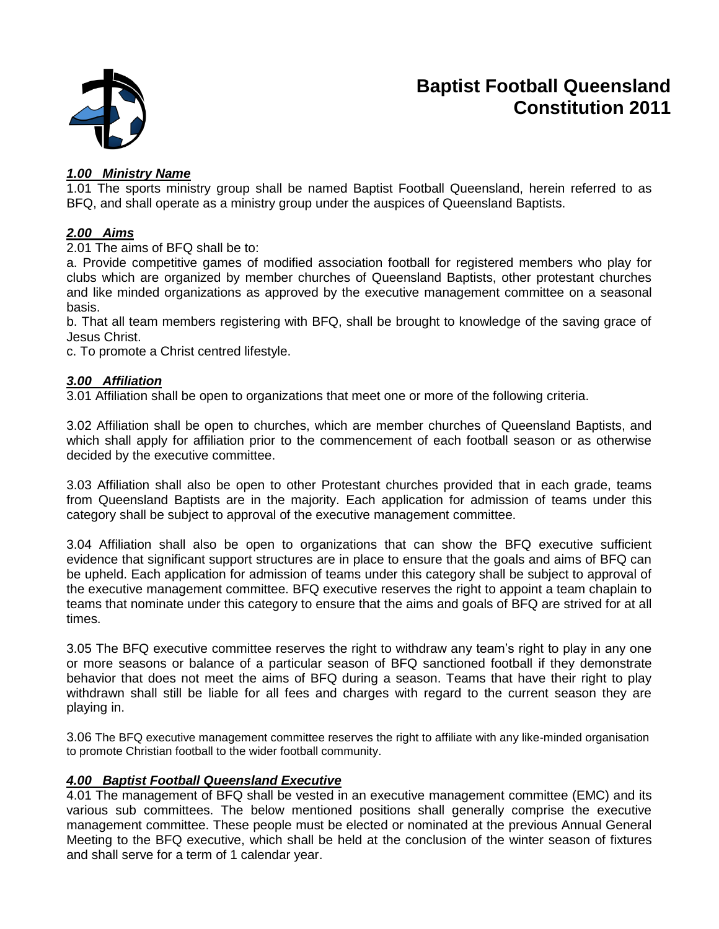

# **Baptist Football Queensland Constitution 2011**

#### *1.00 Ministry Name*

1.01 The sports ministry group shall be named Baptist Football Queensland, herein referred to as BFQ, and shall operate as a ministry group under the auspices of Queensland Baptists.

# *2.00 Aims*

2.01 The aims of BFQ shall be to:

a. Provide competitive games of modified association football for registered members who play for clubs which are organized by member churches of Queensland Baptists, other protestant churches and like minded organizations as approved by the executive management committee on a seasonal basis.

b. That all team members registering with BFQ, shall be brought to knowledge of the saving grace of Jesus Christ.

c. To promote a Christ centred lifestyle.

#### *3.00 Affiliation*

3.01 Affiliation shall be open to organizations that meet one or more of the following criteria.

3.02 Affiliation shall be open to churches, which are member churches of Queensland Baptists, and which shall apply for affiliation prior to the commencement of each football season or as otherwise decided by the executive committee.

3.03 Affiliation shall also be open to other Protestant churches provided that in each grade, teams from Queensland Baptists are in the majority. Each application for admission of teams under this category shall be subject to approval of the executive management committee.

3.04 Affiliation shall also be open to organizations that can show the BFQ executive sufficient evidence that significant support structures are in place to ensure that the goals and aims of BFQ can be upheld. Each application for admission of teams under this category shall be subject to approval of the executive management committee. BFQ executive reserves the right to appoint a team chaplain to teams that nominate under this category to ensure that the aims and goals of BFQ are strived for at all times.

3.05 The BFQ executive committee reserves the right to withdraw any team's right to play in any one or more seasons or balance of a particular season of BFQ sanctioned football if they demonstrate behavior that does not meet the aims of BFQ during a season. Teams that have their right to play withdrawn shall still be liable for all fees and charges with regard to the current season they are playing in.

3.06 The BFQ executive management committee reserves the right to affiliate with any like-minded organisation to promote Christian football to the wider football community.

#### *4.00 Baptist Football Queensland Executive*

4.01 The management of BFQ shall be vested in an executive management committee (EMC) and its various sub committees. The below mentioned positions shall generally comprise the executive management committee. These people must be elected or nominated at the previous Annual General Meeting to the BFQ executive, which shall be held at the conclusion of the winter season of fixtures and shall serve for a term of 1 calendar year.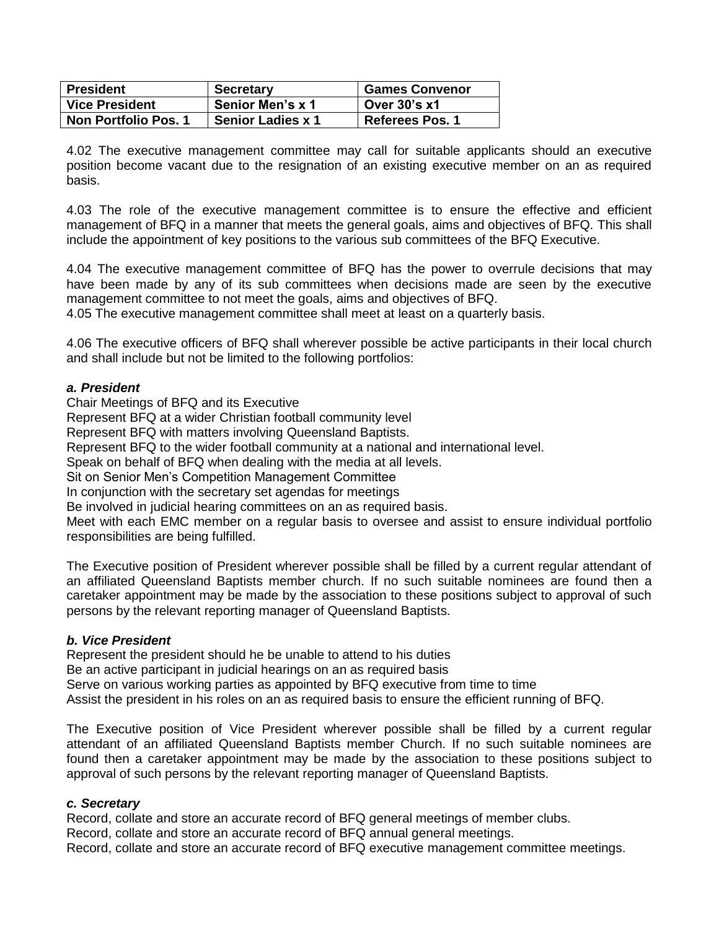| <b>President</b>            | <b>Secretary</b>         | <b>Games Convenor</b> |
|-----------------------------|--------------------------|-----------------------|
| <b>Vice President</b>       | <b>Senior Men's x 1</b>  | <b>Over 30's x1</b>   |
| <b>Non Portfolio Pos. 1</b> | <b>Senior Ladies x 1</b> | Referees Pos. 1       |

4.02 The executive management committee may call for suitable applicants should an executive position become vacant due to the resignation of an existing executive member on an as required basis.

4.03 The role of the executive management committee is to ensure the effective and efficient management of BFQ in a manner that meets the general goals, aims and objectives of BFQ. This shall include the appointment of key positions to the various sub committees of the BFQ Executive.

4.04 The executive management committee of BFQ has the power to overrule decisions that may have been made by any of its sub committees when decisions made are seen by the executive management committee to not meet the goals, aims and objectives of BFQ.

4.05 The executive management committee shall meet at least on a quarterly basis.

4.06 The executive officers of BFQ shall wherever possible be active participants in their local church and shall include but not be limited to the following portfolios:

#### *a. President*

Chair Meetings of BFQ and its Executive

Represent BFQ at a wider Christian football community level

Represent BFQ with matters involving Queensland Baptists.

Represent BFQ to the wider football community at a national and international level.

Speak on behalf of BFQ when dealing with the media at all levels.

Sit on Senior Men's Competition Management Committee

In conjunction with the secretary set agendas for meetings

Be involved in judicial hearing committees on an as required basis.

Meet with each EMC member on a regular basis to oversee and assist to ensure individual portfolio responsibilities are being fulfilled.

The Executive position of President wherever possible shall be filled by a current regular attendant of an affiliated Queensland Baptists member church. If no such suitable nominees are found then a caretaker appointment may be made by the association to these positions subject to approval of such persons by the relevant reporting manager of Queensland Baptists.

#### *b. Vice President*

Represent the president should he be unable to attend to his duties Be an active participant in judicial hearings on an as required basis Serve on various working parties as appointed by BFQ executive from time to time Assist the president in his roles on an as required basis to ensure the efficient running of BFQ.

The Executive position of Vice President wherever possible shall be filled by a current regular attendant of an affiliated Queensland Baptists member Church. If no such suitable nominees are found then a caretaker appointment may be made by the association to these positions subject to approval of such persons by the relevant reporting manager of Queensland Baptists.

#### *c. Secretary*

Record, collate and store an accurate record of BFQ general meetings of member clubs.

Record, collate and store an accurate record of BFQ annual general meetings.

Record, collate and store an accurate record of BFQ executive management committee meetings.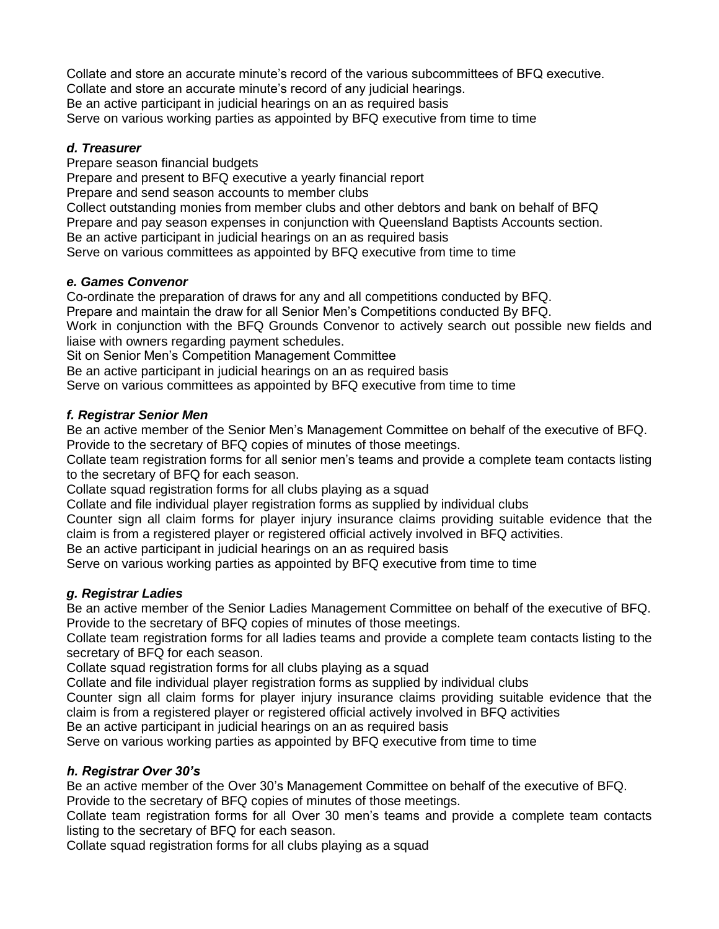Collate and store an accurate minute's record of the various subcommittees of BFQ executive. Collate and store an accurate minute's record of any judicial hearings. Be an active participant in judicial hearings on an as required basis Serve on various working parties as appointed by BFQ executive from time to time

## *d. Treasurer*

Prepare season financial budgets

Prepare and present to BFQ executive a yearly financial report

Prepare and send season accounts to member clubs

Collect outstanding monies from member clubs and other debtors and bank on behalf of BFQ

Prepare and pay season expenses in conjunction with Queensland Baptists Accounts section.

Be an active participant in judicial hearings on an as required basis

Serve on various committees as appointed by BFQ executive from time to time

# *e. Games Convenor*

Co-ordinate the preparation of draws for any and all competitions conducted by BFQ.

Prepare and maintain the draw for all Senior Men's Competitions conducted By BFQ.

Work in conjunction with the BFQ Grounds Convenor to actively search out possible new fields and liaise with owners regarding payment schedules.

Sit on Senior Men's Competition Management Committee

Be an active participant in judicial hearings on an as required basis

Serve on various committees as appointed by BFQ executive from time to time

# *f. Registrar Senior Men*

Be an active member of the Senior Men's Management Committee on behalf of the executive of BFQ. Provide to the secretary of BFQ copies of minutes of those meetings.

Collate team registration forms for all senior men's teams and provide a complete team contacts listing to the secretary of BFQ for each season.

Collate squad registration forms for all clubs playing as a squad

Collate and file individual player registration forms as supplied by individual clubs

Counter sign all claim forms for player injury insurance claims providing suitable evidence that the claim is from a registered player or registered official actively involved in BFQ activities.

Be an active participant in judicial hearings on an as required basis

Serve on various working parties as appointed by BFQ executive from time to time

# *g. Registrar Ladies*

Be an active member of the Senior Ladies Management Committee on behalf of the executive of BFQ. Provide to the secretary of BFQ copies of minutes of those meetings.

Collate team registration forms for all ladies teams and provide a complete team contacts listing to the secretary of BFQ for each season.

Collate squad registration forms for all clubs playing as a squad

Collate and file individual player registration forms as supplied by individual clubs

Counter sign all claim forms for player injury insurance claims providing suitable evidence that the claim is from a registered player or registered official actively involved in BFQ activities

Be an active participant in judicial hearings on an as required basis

Serve on various working parties as appointed by BFQ executive from time to time

# *h. Registrar Over 30's*

Be an active member of the Over 30's Management Committee on behalf of the executive of BFQ. Provide to the secretary of BFQ copies of minutes of those meetings.

Collate team registration forms for all Over 30 men's teams and provide a complete team contacts listing to the secretary of BFQ for each season.

Collate squad registration forms for all clubs playing as a squad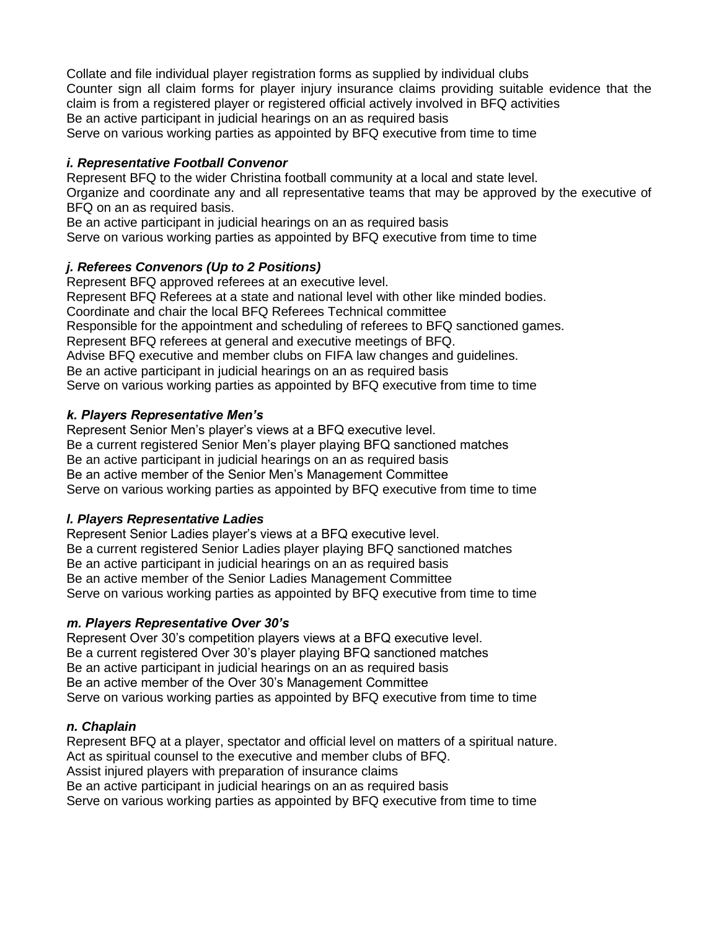Collate and file individual player registration forms as supplied by individual clubs Counter sign all claim forms for player injury insurance claims providing suitable evidence that the claim is from a registered player or registered official actively involved in BFQ activities Be an active participant in judicial hearings on an as required basis Serve on various working parties as appointed by BFQ executive from time to time

## *i. Representative Football Convenor*

Represent BFQ to the wider Christina football community at a local and state level. Organize and coordinate any and all representative teams that may be approved by the executive of BFQ on an as required basis.

Be an active participant in judicial hearings on an as required basis Serve on various working parties as appointed by BFQ executive from time to time

# *j. Referees Convenors (Up to 2 Positions)*

Represent BFQ approved referees at an executive level. Represent BFQ Referees at a state and national level with other like minded bodies. Coordinate and chair the local BFQ Referees Technical committee Responsible for the appointment and scheduling of referees to BFQ sanctioned games. Represent BFQ referees at general and executive meetings of BFQ. Advise BFQ executive and member clubs on FIFA law changes and guidelines. Be an active participant in judicial hearings on an as required basis Serve on various working parties as appointed by BFQ executive from time to time

# *k. Players Representative Men's*

Represent Senior Men's player's views at a BFQ executive level. Be a current registered Senior Men's player playing BFQ sanctioned matches Be an active participant in judicial hearings on an as required basis Be an active member of the Senior Men's Management Committee Serve on various working parties as appointed by BFQ executive from time to time

## *l. Players Representative Ladies*

Represent Senior Ladies player's views at a BFQ executive level. Be a current registered Senior Ladies player playing BFQ sanctioned matches Be an active participant in judicial hearings on an as required basis Be an active member of the Senior Ladies Management Committee Serve on various working parties as appointed by BFQ executive from time to time

## *m. Players Representative Over 30's*

Represent Over 30's competition players views at a BFQ executive level. Be a current registered Over 30's player playing BFQ sanctioned matches Be an active participant in judicial hearings on an as required basis Be an active member of the Over 30's Management Committee Serve on various working parties as appointed by BFQ executive from time to time

## *n. Chaplain*

Represent BFQ at a player, spectator and official level on matters of a spiritual nature. Act as spiritual counsel to the executive and member clubs of BFQ. Assist injured players with preparation of insurance claims Be an active participant in judicial hearings on an as required basis

Serve on various working parties as appointed by BFQ executive from time to time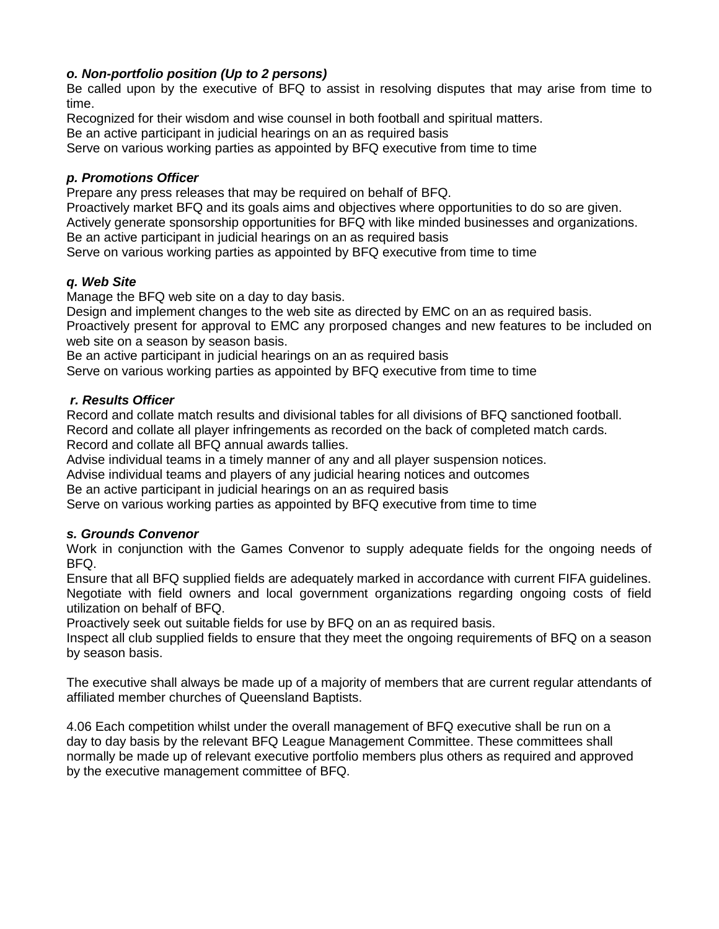## *o. Non-portfolio position (Up to 2 persons)*

Be called upon by the executive of BFQ to assist in resolving disputes that may arise from time to time.

Recognized for their wisdom and wise counsel in both football and spiritual matters.

Be an active participant in judicial hearings on an as required basis

Serve on various working parties as appointed by BFQ executive from time to time

# *p. Promotions Officer*

Prepare any press releases that may be required on behalf of BFQ.

Proactively market BFQ and its goals aims and objectives where opportunities to do so are given.

Actively generate sponsorship opportunities for BFQ with like minded businesses and organizations.

Be an active participant in judicial hearings on an as required basis

Serve on various working parties as appointed by BFQ executive from time to time

# *q. Web Site*

Manage the BFQ web site on a day to day basis.

Design and implement changes to the web site as directed by EMC on an as required basis.

Proactively present for approval to EMC any prorposed changes and new features to be included on web site on a season by season basis.

Be an active participant in judicial hearings on an as required basis

Serve on various working parties as appointed by BFQ executive from time to time

# *r. Results Officer*

Record and collate match results and divisional tables for all divisions of BFQ sanctioned football. Record and collate all player infringements as recorded on the back of completed match cards. Record and collate all BFQ annual awards tallies.

Advise individual teams in a timely manner of any and all player suspension notices.

Advise individual teams and players of any judicial hearing notices and outcomes

Be an active participant in judicial hearings on an as required basis

Serve on various working parties as appointed by BFQ executive from time to time

## *s. Grounds Convenor*

Work in conjunction with the Games Convenor to supply adequate fields for the ongoing needs of BFQ.

Ensure that all BFQ supplied fields are adequately marked in accordance with current FIFA guidelines. Negotiate with field owners and local government organizations regarding ongoing costs of field utilization on behalf of BFQ.

Proactively seek out suitable fields for use by BFQ on an as required basis.

Inspect all club supplied fields to ensure that they meet the ongoing requirements of BFQ on a season by season basis.

The executive shall always be made up of a majority of members that are current regular attendants of affiliated member churches of Queensland Baptists.

4.06 Each competition whilst under the overall management of BFQ executive shall be run on a day to day basis by the relevant BFQ League Management Committee. These committees shall normally be made up of relevant executive portfolio members plus others as required and approved by the executive management committee of BFQ.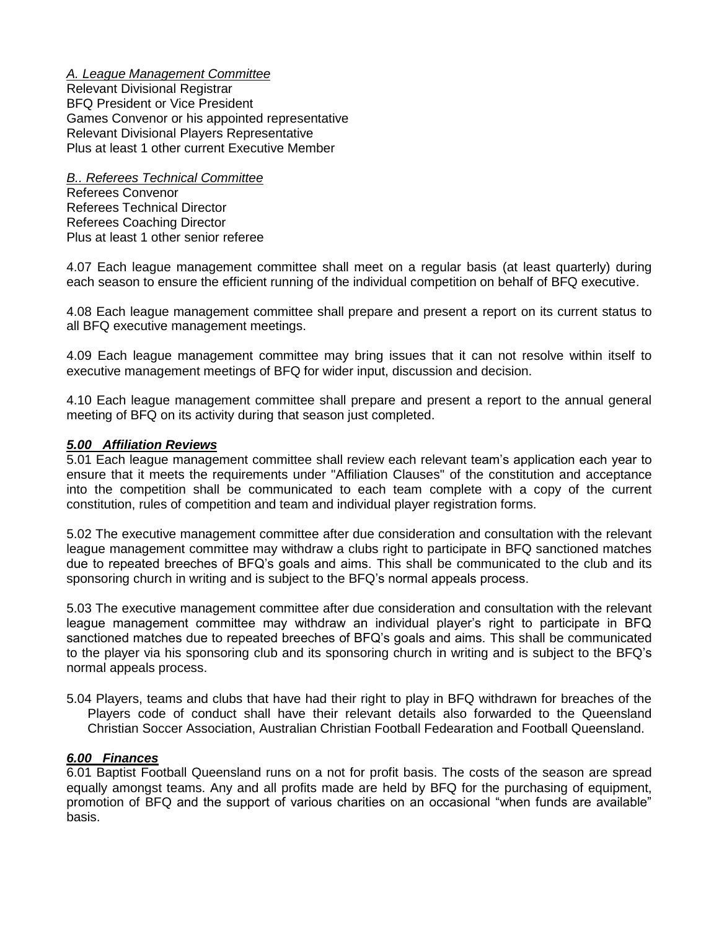*A. League Management Committee* Relevant Divisional Registrar BFQ President or Vice President Games Convenor or his appointed representative Relevant Divisional Players Representative Plus at least 1 other current Executive Member

*B.. Referees Technical Committee*

Referees Convenor Referees Technical Director Referees Coaching Director Plus at least 1 other senior referee

4.07 Each league management committee shall meet on a regular basis (at least quarterly) during each season to ensure the efficient running of the individual competition on behalf of BFQ executive.

4.08 Each league management committee shall prepare and present a report on its current status to all BFQ executive management meetings.

4.09 Each league management committee may bring issues that it can not resolve within itself to executive management meetings of BFQ for wider input, discussion and decision.

4.10 Each league management committee shall prepare and present a report to the annual general meeting of BFQ on its activity during that season just completed.

#### *5.00 Affiliation Reviews*

5.01 Each league management committee shall review each relevant team's application each year to ensure that it meets the requirements under "Affiliation Clauses" of the constitution and acceptance into the competition shall be communicated to each team complete with a copy of the current constitution, rules of competition and team and individual player registration forms.

5.02 The executive management committee after due consideration and consultation with the relevant league management committee may withdraw a clubs right to participate in BFQ sanctioned matches due to repeated breeches of BFQ's goals and aims. This shall be communicated to the club and its sponsoring church in writing and is subject to the BFQ's normal appeals process.

5.03 The executive management committee after due consideration and consultation with the relevant league management committee may withdraw an individual player's right to participate in BFQ sanctioned matches due to repeated breeches of BFQ's goals and aims. This shall be communicated to the player via his sponsoring club and its sponsoring church in writing and is subject to the BFQ's normal appeals process.

5.04 Players, teams and clubs that have had their right to play in BFQ withdrawn for breaches of the Players code of conduct shall have their relevant details also forwarded to the Queensland Christian Soccer Association, Australian Christian Football Fedearation and Football Queensland.

#### *6.00 Finances*

6.01 Baptist Football Queensland runs on a not for profit basis. The costs of the season are spread equally amongst teams. Any and all profits made are held by BFQ for the purchasing of equipment, promotion of BFQ and the support of various charities on an occasional "when funds are available" basis.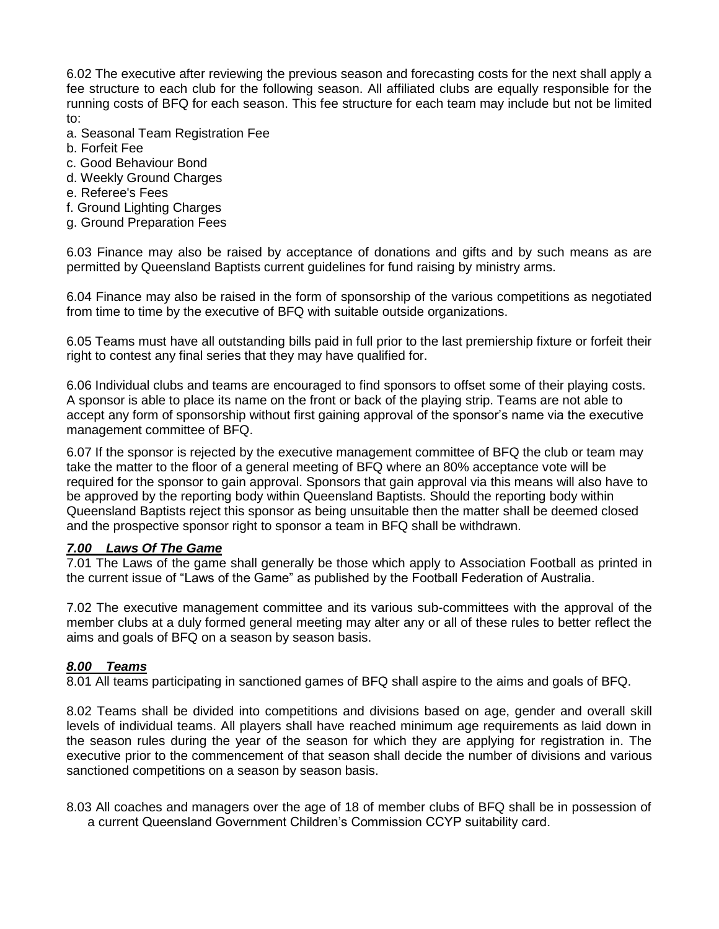6.02 The executive after reviewing the previous season and forecasting costs for the next shall apply a fee structure to each club for the following season. All affiliated clubs are equally responsible for the running costs of BFQ for each season. This fee structure for each team may include but not be limited to:

- a. Seasonal Team Registration Fee
- b. Forfeit Fee
- c. Good Behaviour Bond
- d. Weekly Ground Charges
- e. Referee's Fees
- f. Ground Lighting Charges
- g. Ground Preparation Fees

6.03 Finance may also be raised by acceptance of donations and gifts and by such means as are permitted by Queensland Baptists current guidelines for fund raising by ministry arms.

6.04 Finance may also be raised in the form of sponsorship of the various competitions as negotiated from time to time by the executive of BFQ with suitable outside organizations.

6.05 Teams must have all outstanding bills paid in full prior to the last premiership fixture or forfeit their right to contest any final series that they may have qualified for.

6.06 Individual clubs and teams are encouraged to find sponsors to offset some of their playing costs. A sponsor is able to place its name on the front or back of the playing strip. Teams are not able to accept any form of sponsorship without first gaining approval of the sponsor's name via the executive management committee of BFQ.

6.07 If the sponsor is rejected by the executive management committee of BFQ the club or team may take the matter to the floor of a general meeting of BFQ where an 80% acceptance vote will be required for the sponsor to gain approval. Sponsors that gain approval via this means will also have to be approved by the reporting body within Queensland Baptists. Should the reporting body within Queensland Baptists reject this sponsor as being unsuitable then the matter shall be deemed closed and the prospective sponsor right to sponsor a team in BFQ shall be withdrawn.

#### *7.00 Laws Of The Game*

7.01 The Laws of the game shall generally be those which apply to Association Football as printed in the current issue of "Laws of the Game" as published by the Football Federation of Australia.

7.02 The executive management committee and its various sub-committees with the approval of the member clubs at a duly formed general meeting may alter any or all of these rules to better reflect the aims and goals of BFQ on a season by season basis.

#### *8.00 Teams*

8.01 All teams participating in sanctioned games of BFQ shall aspire to the aims and goals of BFQ.

8.02 Teams shall be divided into competitions and divisions based on age, gender and overall skill levels of individual teams. All players shall have reached minimum age requirements as laid down in the season rules during the year of the season for which they are applying for registration in. The executive prior to the commencement of that season shall decide the number of divisions and various sanctioned competitions on a season by season basis.

8.03 All coaches and managers over the age of 18 of member clubs of BFQ shall be in possession of a current Queensland Government Children's Commission CCYP suitability card.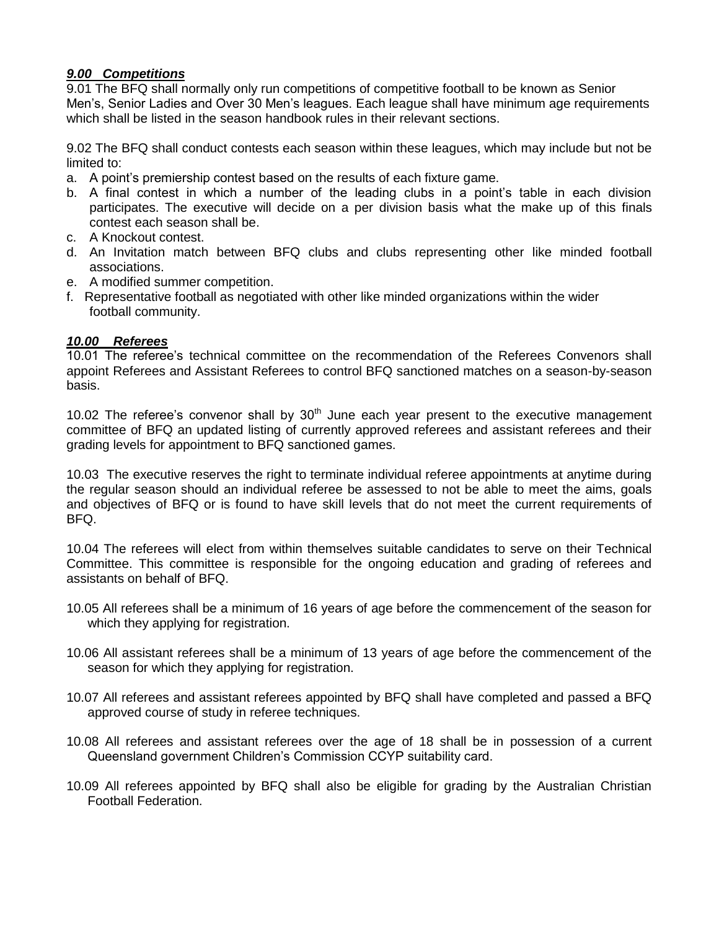#### *9.00 Competitions*

9.01 The BFQ shall normally only run competitions of competitive football to be known as Senior Men's, Senior Ladies and Over 30 Men's leagues. Each league shall have minimum age requirements which shall be listed in the season handbook rules in their relevant sections.

9.02 The BFQ shall conduct contests each season within these leagues, which may include but not be limited to:

- a. A point's premiership contest based on the results of each fixture game.
- b. A final contest in which a number of the leading clubs in a point's table in each division participates. The executive will decide on a per division basis what the make up of this finals contest each season shall be.
- c. A Knockout contest.
- d. An Invitation match between BFQ clubs and clubs representing other like minded football associations.
- e. A modified summer competition.
- f. Representative football as negotiated with other like minded organizations within the wider football community.

#### *10.00 Referees*

10.01 The referee's technical committee on the recommendation of the Referees Convenors shall appoint Referees and Assistant Referees to control BFQ sanctioned matches on a season-by-season basis.

10.02 The referee's convenor shall by  $30<sup>th</sup>$  June each year present to the executive management committee of BFQ an updated listing of currently approved referees and assistant referees and their grading levels for appointment to BFQ sanctioned games.

10.03 The executive reserves the right to terminate individual referee appointments at anytime during the regular season should an individual referee be assessed to not be able to meet the aims, goals and objectives of BFQ or is found to have skill levels that do not meet the current requirements of BFQ.

10.04 The referees will elect from within themselves suitable candidates to serve on their Technical Committee. This committee is responsible for the ongoing education and grading of referees and assistants on behalf of BFQ.

- 10.05 All referees shall be a minimum of 16 years of age before the commencement of the season for which they applying for registration.
- 10.06 All assistant referees shall be a minimum of 13 years of age before the commencement of the season for which they applying for registration.
- 10.07 All referees and assistant referees appointed by BFQ shall have completed and passed a BFQ approved course of study in referee techniques.
- 10.08 All referees and assistant referees over the age of 18 shall be in possession of a current Queensland government Children's Commission CCYP suitability card.
- 10.09 All referees appointed by BFQ shall also be eligible for grading by the Australian Christian Football Federation.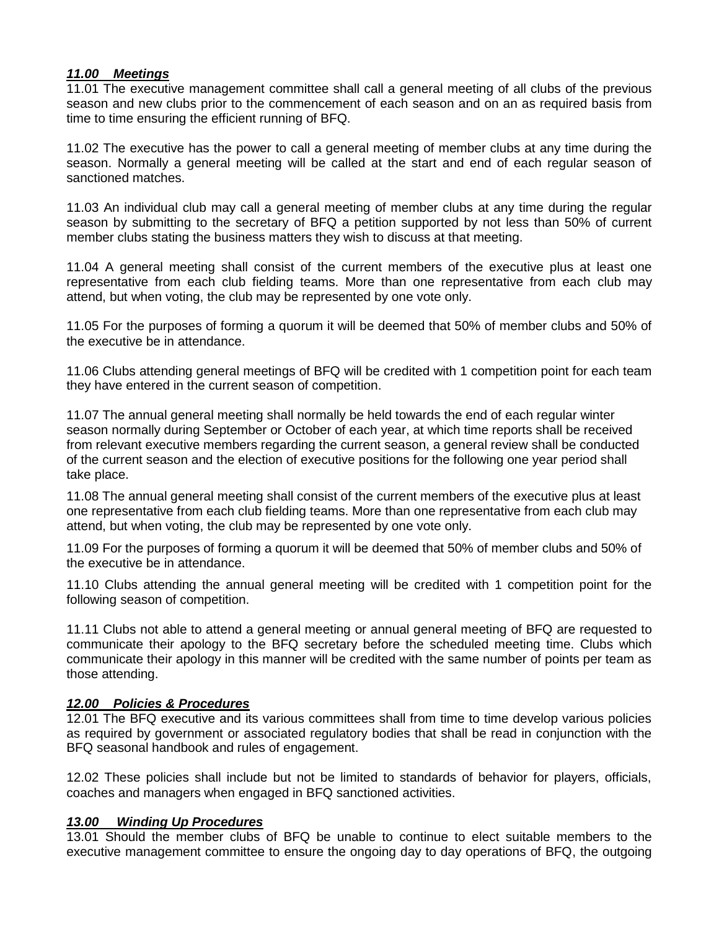#### *11.00 Meetings*

11.01 The executive management committee shall call a general meeting of all clubs of the previous season and new clubs prior to the commencement of each season and on an as required basis from time to time ensuring the efficient running of BFQ.

11.02 The executive has the power to call a general meeting of member clubs at any time during the season. Normally a general meeting will be called at the start and end of each regular season of sanctioned matches.

11.03 An individual club may call a general meeting of member clubs at any time during the regular season by submitting to the secretary of BFQ a petition supported by not less than 50% of current member clubs stating the business matters they wish to discuss at that meeting.

11.04 A general meeting shall consist of the current members of the executive plus at least one representative from each club fielding teams. More than one representative from each club may attend, but when voting, the club may be represented by one vote only.

11.05 For the purposes of forming a quorum it will be deemed that 50% of member clubs and 50% of the executive be in attendance.

11.06 Clubs attending general meetings of BFQ will be credited with 1 competition point for each team they have entered in the current season of competition.

11.07 The annual general meeting shall normally be held towards the end of each regular winter season normally during September or October of each year, at which time reports shall be received from relevant executive members regarding the current season, a general review shall be conducted of the current season and the election of executive positions for the following one year period shall take place.

11.08 The annual general meeting shall consist of the current members of the executive plus at least one representative from each club fielding teams. More than one representative from each club may attend, but when voting, the club may be represented by one vote only.

11.09 For the purposes of forming a quorum it will be deemed that 50% of member clubs and 50% of the executive be in attendance.

11.10 Clubs attending the annual general meeting will be credited with 1 competition point for the following season of competition.

11.11 Clubs not able to attend a general meeting or annual general meeting of BFQ are requested to communicate their apology to the BFQ secretary before the scheduled meeting time. Clubs which communicate their apology in this manner will be credited with the same number of points per team as those attending.

#### *12.00 Policies & Procedures*

12.01 The BFQ executive and its various committees shall from time to time develop various policies as required by government or associated regulatory bodies that shall be read in conjunction with the BFQ seasonal handbook and rules of engagement.

12.02 These policies shall include but not be limited to standards of behavior for players, officials, coaches and managers when engaged in BFQ sanctioned activities.

#### *13.00 Winding Up Procedures*

13.01 Should the member clubs of BFQ be unable to continue to elect suitable members to the executive management committee to ensure the ongoing day to day operations of BFQ, the outgoing